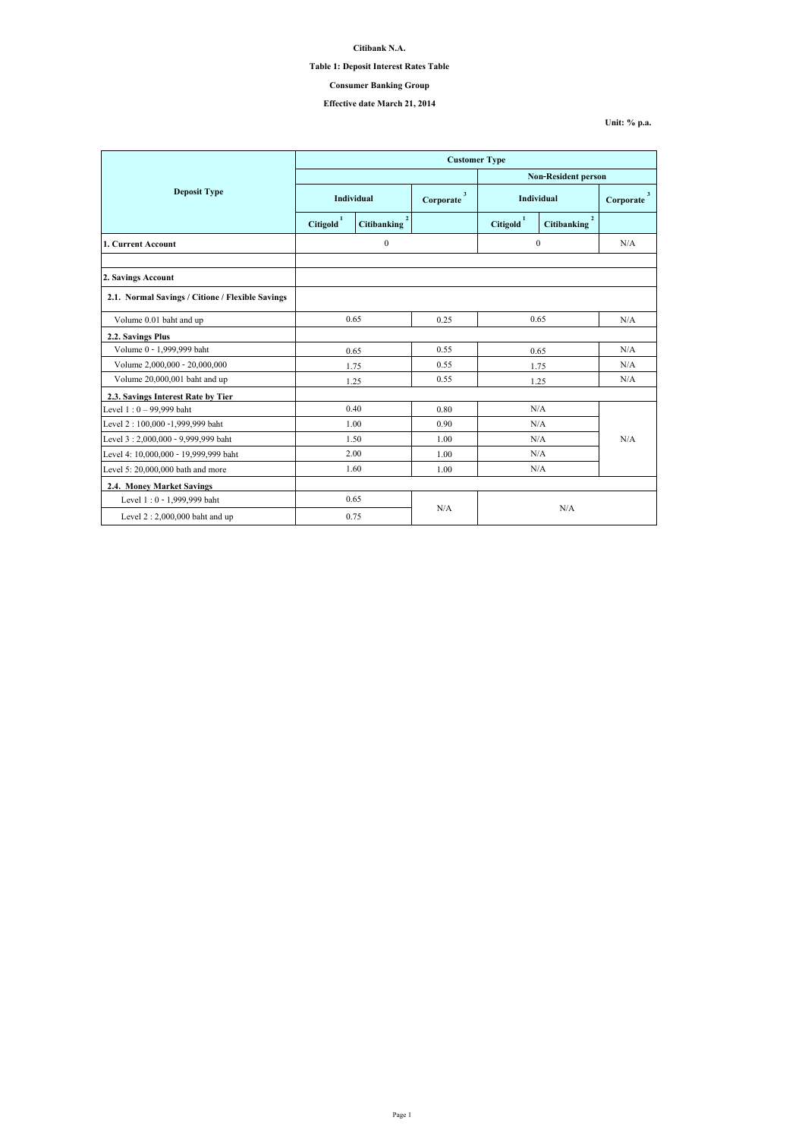**Unit: % p.a.**

|                                                  | <b>Customer Type</b> |                                      |                |                            |                                      |                           |
|--------------------------------------------------|----------------------|--------------------------------------|----------------|----------------------------|--------------------------------------|---------------------------|
|                                                  |                      |                                      |                | <b>Non-Resident person</b> |                                      |                           |
| <b>Deposit Type</b>                              | <b>Individual</b>    |                                      | 3<br>Corporate | <b>Individual</b>          |                                      | $\mathbf{3}$<br>Corporate |
|                                                  | <b>Citigold</b>      | $\overline{2}$<br><b>Citibanking</b> |                | Citigold <sup>1</sup>      | $\overline{2}$<br><b>Citibanking</b> |                           |
| 1. Current Account                               |                      | $\boldsymbol{0}$                     |                | $\mathbf{0}$               |                                      | N/A                       |
|                                                  |                      |                                      |                |                            |                                      |                           |
| 2. Savings Account                               |                      |                                      |                |                            |                                      |                           |
| 2.1. Normal Savings / Citione / Flexible Savings |                      |                                      |                |                            |                                      |                           |
| Volume 0.01 baht and up                          | 0.65                 |                                      | 0.25           | 0.65                       |                                      | N/A                       |
| 2.2. Savings Plus                                |                      |                                      |                |                            |                                      |                           |
| Volume 0 - 1,999,999 baht                        | 0.65                 |                                      | 0.55           | 0.65                       |                                      | N/A                       |
| Volume 2,000,000 - 20,000,000                    |                      | 1.75                                 | 0.55           | 1.75                       |                                      | N/A                       |
| Volume 20,000,001 baht and up                    |                      | 1.25                                 | 0.55           | 1.25                       |                                      | N/A                       |
| 2.3. Savings Interest Rate by Tier               |                      |                                      |                |                            |                                      |                           |
| Level $1:0 - 99,999$ baht                        |                      | 0.40                                 | 0.80           | N/A                        |                                      |                           |
| Level 2:100,000 -1,999,999 baht                  |                      | 1.00                                 | 0.90           | N/A                        |                                      |                           |
| Level 3: 2,000,000 - 9,999,999 baht              |                      | 1.50                                 | 1.00           |                            | N/A                                  | N/A                       |
| Level 4: 10,000,000 - 19,999,999 baht            | 2.00                 |                                      | 1.00           | N/A                        |                                      |                           |
| Level 5: $20,000,000$ bath and more              | 1.60                 |                                      | 1.00           |                            | N/A                                  |                           |
| <b>2.4. Money Market Savings</b>                 |                      |                                      |                |                            |                                      |                           |
| Level 1:0 - 1,999,999 baht                       |                      | 0.65                                 |                |                            |                                      |                           |
| Level $2:2,000,000$ baht and up                  | N/A<br>0.75          |                                      | N/A            |                            |                                      |                           |

**Citibank N.A.**

#### **Table 1: Deposit Interest Rates Table**

## **Effective date March 21, 2014**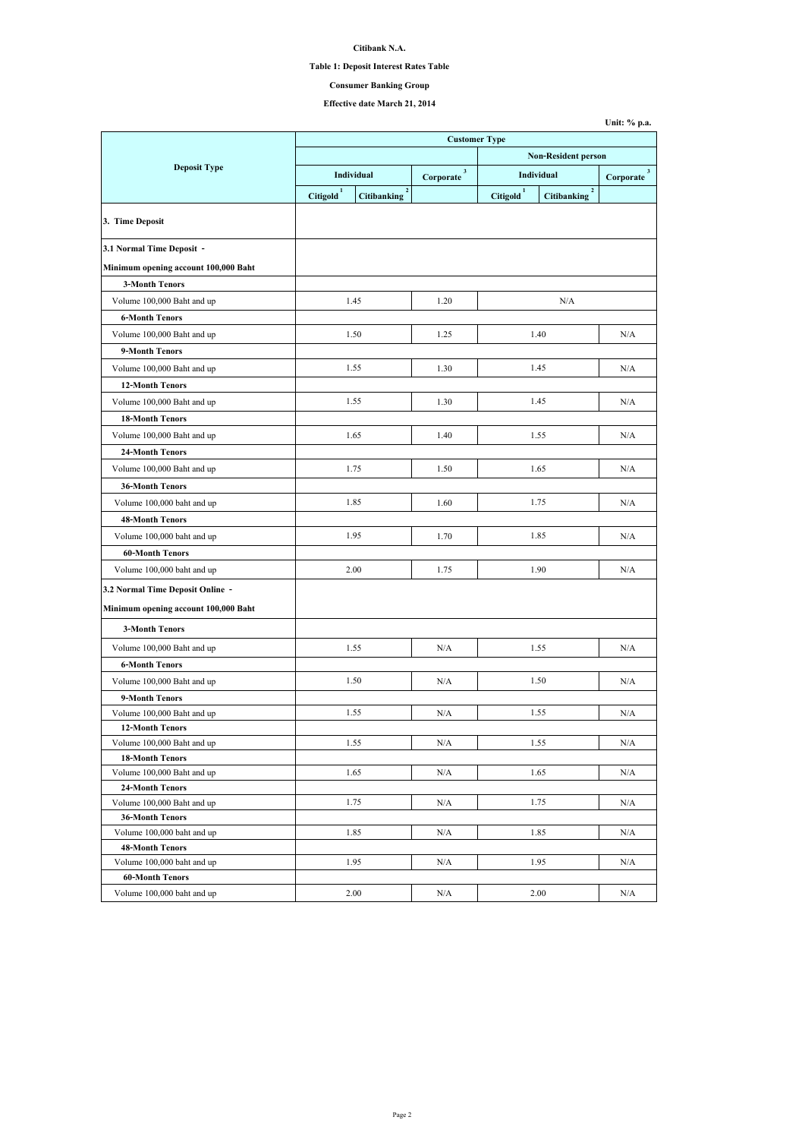l.

**Citibank N.A.**

#### **Table 1: Deposit Interest Rates Table**

## **Effective date March 21, 2014**

|                                                                          | <b>Customer Type</b>  |                                      |                           |                       |                                      |                             |
|--------------------------------------------------------------------------|-----------------------|--------------------------------------|---------------------------|-----------------------|--------------------------------------|-----------------------------|
|                                                                          |                       |                                      |                           |                       | <b>Non-Resident person</b>           |                             |
| <b>Deposit Type</b>                                                      |                       | <b>Individual</b>                    | $\mathbf{3}$<br>Corporate |                       | <b>Individual</b>                    | 3 <sup>2</sup><br>Corporate |
|                                                                          | Citigold <sup>1</sup> | $\overline{2}$<br><b>Citibanking</b> |                           | Citigold <sup>1</sup> | $\overline{2}$<br><b>Citibanking</b> |                             |
| 3. Time Deposit                                                          |                       |                                      |                           |                       |                                      |                             |
| 3.1 Normal Time Deposit -                                                |                       |                                      |                           |                       |                                      |                             |
| Minimum opening account 100,000 Baht                                     |                       |                                      |                           |                       |                                      |                             |
| <b>3-Month Tenors</b>                                                    |                       |                                      |                           |                       |                                      |                             |
| Volume 100,000 Baht and up                                               |                       | 1.45                                 | 1.20                      |                       | N/A                                  |                             |
| <b>6-Month Tenors</b>                                                    |                       |                                      |                           |                       |                                      |                             |
| Volume 100,000 Baht and up                                               |                       | 1.50                                 | 1.25                      |                       | 1.40                                 | N/A                         |
| 9-Month Tenors                                                           |                       |                                      |                           |                       |                                      |                             |
| Volume 100,000 Baht and up                                               |                       | 1.55                                 | 1.30                      |                       | 1.45                                 | N/A                         |
| <b>12-Month Tenors</b>                                                   |                       |                                      |                           |                       |                                      |                             |
| Volume 100,000 Baht and up                                               |                       | 1.55                                 | 1.30                      |                       | 1.45                                 | N/A                         |
| <b>18-Month Tenors</b>                                                   |                       |                                      |                           |                       |                                      |                             |
| Volume 100,000 Baht and up                                               |                       | 1.65                                 | 1.40                      |                       | 1.55                                 | N/A                         |
| <b>24-Month Tenors</b>                                                   |                       |                                      |                           |                       |                                      |                             |
| Volume 100,000 Baht and up                                               | 1.75                  |                                      | 1.50                      | 1.65                  |                                      | N/A                         |
| <b>36-Month Tenors</b>                                                   |                       |                                      |                           |                       |                                      |                             |
| Volume 100,000 baht and up                                               | 1.85                  |                                      | 1.60                      |                       | 1.75                                 | N/A                         |
| <b>48-Month Tenors</b>                                                   |                       |                                      |                           |                       |                                      |                             |
| Volume 100,000 baht and up                                               |                       | 1.95                                 | 1.70                      |                       | 1.85                                 | N/A                         |
| <b>60-Month Tenors</b>                                                   |                       |                                      |                           |                       |                                      |                             |
| Volume 100,000 baht and up                                               |                       | 2.00                                 | 1.75                      |                       | 1.90                                 | N/A                         |
|                                                                          |                       |                                      |                           |                       |                                      |                             |
| 3.2 Normal Time Deposit Online -<br>Minimum opening account 100,000 Baht |                       |                                      |                           |                       |                                      |                             |
| <b>3-Month Tenors</b>                                                    |                       |                                      |                           |                       |                                      |                             |
| Volume 100,000 Baht and up                                               |                       | 1.55                                 | N/A                       |                       | 1.55                                 | N/A                         |
| <b>6-Month Tenors</b>                                                    |                       |                                      |                           |                       |                                      |                             |
| Volume 100,000 Baht and up                                               |                       | 1.50                                 | N/A                       |                       | 1.50                                 | N/A                         |
| 9-Month Tenors                                                           |                       |                                      |                           |                       |                                      |                             |
| Volume 100,000 Baht and up                                               |                       | 1.55                                 | N/A                       |                       | 1.55                                 | N/A                         |
| <b>12-Month Tenors</b>                                                   |                       |                                      |                           |                       |                                      |                             |
| Volume 100,000 Baht and up                                               |                       | 1.55                                 | N/A                       |                       | 1.55                                 | N/A                         |
| <b>18-Month Tenors</b>                                                   |                       |                                      |                           |                       |                                      |                             |
| Volume 100,000 Baht and up                                               |                       | 1.65                                 | N/A                       |                       | 1.65                                 | N/A                         |
| <b>24-Month Tenors</b>                                                   |                       |                                      |                           |                       |                                      |                             |
| Volume 100,000 Baht and up                                               |                       | 1.75                                 | N/A                       |                       | 1.75                                 | N/A                         |
| <b>36-Month Tenors</b>                                                   |                       | 1.85                                 |                           |                       | 1.85                                 |                             |
| Volume 100,000 baht and up<br><b>48-Month Tenors</b>                     |                       |                                      | N/A                       |                       |                                      | N/A                         |
| Volume 100,000 baht and up                                               |                       | 1.95                                 | N/A                       |                       | 1.95                                 | N/A                         |
| <b>60-Month Tenors</b>                                                   |                       |                                      |                           |                       |                                      |                             |
| Volume 100,000 baht and up                                               |                       | 2.00                                 | N/A                       |                       | 2.00                                 | N/A                         |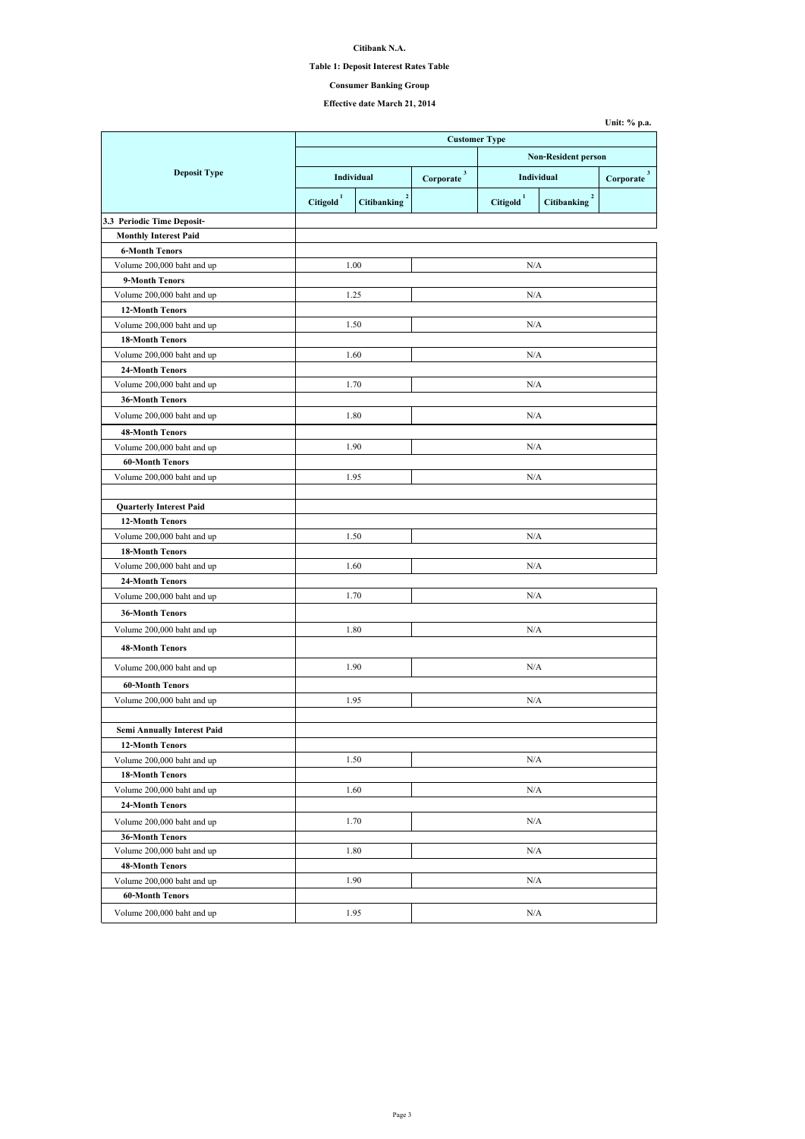**Citibank N.A.**

#### **Table 1: Deposit Interest Rates Table**

## **Effective date March 21, 2014**

|                                    |                       |                                      | <b>Customer Type</b>      |                       |                                      |                            |  |
|------------------------------------|-----------------------|--------------------------------------|---------------------------|-----------------------|--------------------------------------|----------------------------|--|
|                                    |                       |                                      |                           |                       |                                      | <b>Non-Resident person</b> |  |
| <b>Deposit Type</b>                | Individual            |                                      | $\mathbf{3}$<br>Corporate |                       | <b>Individual</b>                    | $\mathbf{3}$<br>Corporate  |  |
|                                    | Citigold <sup>1</sup> | $\overline{2}$<br><b>Citibanking</b> |                           | Citigold <sup>1</sup> | $\overline{2}$<br><b>Citibanking</b> |                            |  |
| 3.3 Periodic Time Deposit-         |                       |                                      |                           |                       |                                      |                            |  |
| <b>Monthly Interest Paid</b>       |                       |                                      |                           |                       |                                      |                            |  |
| <b>6-Month Tenors</b>              |                       |                                      |                           |                       |                                      |                            |  |
| Volume 200,000 baht and up         |                       | 1.00                                 |                           | N/A                   |                                      |                            |  |
| 9-Month Tenors                     |                       |                                      |                           |                       |                                      |                            |  |
| Volume 200,000 baht and up         |                       | 1.25                                 |                           | N/A                   |                                      |                            |  |
| <b>12-Month Tenors</b>             |                       |                                      |                           |                       |                                      |                            |  |
| Volume 200,000 baht and up         |                       | 1.50                                 |                           | N/A                   |                                      |                            |  |
| <b>18-Month Tenors</b>             |                       |                                      |                           |                       |                                      |                            |  |
| Volume 200,000 baht and up         |                       | 1.60                                 |                           | N/A                   |                                      |                            |  |
| <b>24-Month Tenors</b>             |                       |                                      |                           |                       |                                      |                            |  |
| Volume 200,000 baht and up         |                       | 1.70                                 |                           | N/A                   |                                      |                            |  |
| <b>36-Month Tenors</b>             |                       |                                      |                           |                       |                                      |                            |  |
| Volume 200,000 baht and up         |                       | 1.80                                 |                           | N/A                   |                                      |                            |  |
| <b>48-Month Tenors</b>             |                       |                                      |                           |                       |                                      |                            |  |
| Volume 200,000 baht and up         |                       | 1.90                                 |                           | N/A                   |                                      |                            |  |
| <b>60-Month Tenors</b>             |                       |                                      |                           |                       |                                      |                            |  |
| Volume 200,000 baht and up         | 1.95                  |                                      | N/A                       |                       |                                      |                            |  |
| <b>Quarterly Interest Paid</b>     |                       |                                      |                           |                       |                                      |                            |  |
| <b>12-Month Tenors</b>             |                       |                                      |                           |                       |                                      |                            |  |
| Volume 200,000 baht and up         |                       | 1.50                                 | N/A                       |                       |                                      |                            |  |
| <b>18-Month Tenors</b>             |                       |                                      |                           |                       |                                      |                            |  |
| Volume 200,000 baht and up         |                       | 1.60                                 | N/A                       |                       |                                      |                            |  |
| <b>24-Month Tenors</b>             |                       |                                      |                           |                       |                                      |                            |  |
| Volume 200,000 baht and up         |                       | 1.70                                 |                           | N/A                   |                                      |                            |  |
| <b>36-Month Tenors</b>             |                       |                                      |                           |                       |                                      |                            |  |
| Volume 200,000 baht and up         |                       | 1.80                                 |                           | N/A                   |                                      |                            |  |
| <b>48-Month Tenors</b>             |                       |                                      |                           |                       |                                      |                            |  |
| Volume 200,000 baht and up         |                       | N/A<br>1.90                          |                           |                       |                                      |                            |  |
| <b>60-Month Tenors</b>             |                       |                                      |                           |                       |                                      |                            |  |
| Volume 200,000 baht and up         |                       | 1.95                                 | N/A                       |                       |                                      |                            |  |
|                                    |                       |                                      |                           |                       |                                      |                            |  |
| <b>Semi Annually Interest Paid</b> |                       |                                      |                           |                       |                                      |                            |  |
| <b>12-Month Tenors</b>             |                       |                                      |                           |                       |                                      |                            |  |
| Volume 200,000 baht and up         |                       | 1.50                                 |                           | N/A                   |                                      |                            |  |
| <b>18-Month Tenors</b>             |                       |                                      |                           |                       |                                      |                            |  |
| Volume 200,000 baht and up         |                       | 1.60                                 | N/A                       |                       |                                      |                            |  |
| <b>24-Month Tenors</b>             |                       |                                      |                           |                       |                                      |                            |  |
| Volume 200,000 baht and up         |                       | 1.70                                 | N/A                       |                       |                                      |                            |  |
| <b>36-Month Tenors</b>             |                       |                                      |                           |                       |                                      |                            |  |
| Volume 200,000 baht and up         |                       | 1.80                                 |                           | N/A                   |                                      |                            |  |
| <b>48-Month Tenors</b>             |                       |                                      |                           |                       |                                      |                            |  |
| Volume 200,000 baht and up         |                       | 1.90                                 |                           | N/A                   |                                      |                            |  |
| <b>60-Month Tenors</b>             |                       |                                      |                           |                       |                                      |                            |  |
| Volume 200,000 baht and up         | 1.95                  |                                      | N/A                       |                       |                                      |                            |  |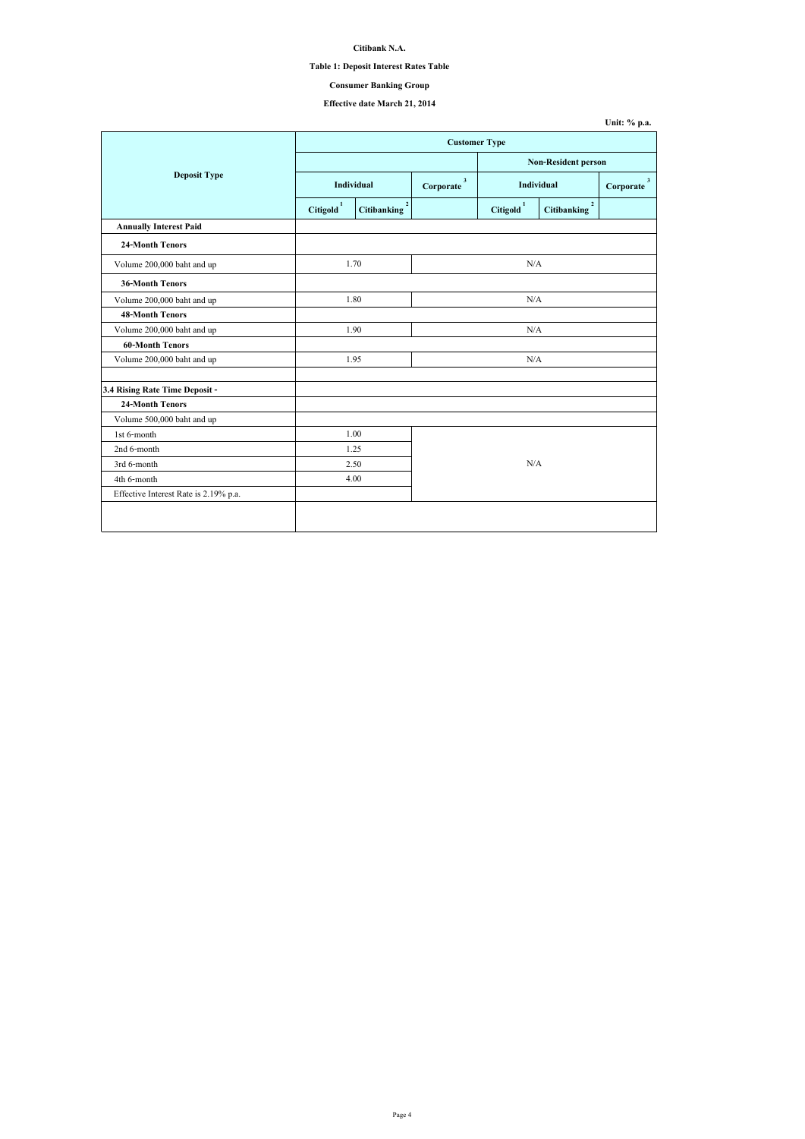| Unit: $\%$ p.a. |  |  |
|-----------------|--|--|
|-----------------|--|--|

#### **Citibank N.A.**

## **Table 1: Deposit Interest Rates Table**

## **Effective date March 21, 2014**

|                                       | <b>Customer Type</b>  |                                      |                           |                       |                                               |  |
|---------------------------------------|-----------------------|--------------------------------------|---------------------------|-----------------------|-----------------------------------------------|--|
|                                       |                       |                                      |                           |                       | <b>Non-Resident person</b>                    |  |
| <b>Deposit Type</b>                   | Individual            |                                      | $\mathbf{3}$<br>Corporate |                       | Individual                                    |  |
|                                       | Citigold <sup>1</sup> | $\overline{2}$<br><b>Citibanking</b> |                           | Citigold <sup>1</sup> | $\overline{\mathbf{2}}$<br><b>Citibanking</b> |  |
| <b>Annually Interest Paid</b>         |                       |                                      |                           |                       |                                               |  |
| <b>24-Month Tenors</b>                |                       |                                      |                           |                       |                                               |  |
| Volume 200,000 baht and up            | 1.70                  |                                      |                           | N/A                   |                                               |  |
| <b>36-Month Tenors</b>                |                       |                                      |                           |                       |                                               |  |
| Volume 200,000 baht and up            | 1.80                  |                                      |                           | N/A                   |                                               |  |
| <b>48-Month Tenors</b>                |                       |                                      |                           |                       |                                               |  |
| Volume 200,000 baht and up            | 1.90                  |                                      |                           | N/A                   |                                               |  |
| <b>60-Month Tenors</b>                |                       |                                      |                           |                       |                                               |  |
| Volume 200,000 baht and up            | 1.95                  |                                      |                           | N/A                   |                                               |  |
|                                       |                       |                                      |                           |                       |                                               |  |
| 3.4 Rising Rate Time Deposit -        |                       |                                      |                           |                       |                                               |  |
| <b>24-Month Tenors</b>                |                       |                                      |                           |                       |                                               |  |
| Volume 500,000 baht and up            |                       |                                      |                           |                       |                                               |  |
| 1st 6-month                           | 1.00                  |                                      |                           |                       |                                               |  |
| 2nd 6-month                           | 1.25                  |                                      |                           |                       |                                               |  |
| 3rd 6-month                           | 2.50                  |                                      |                           | N/A                   |                                               |  |
| 4th 6-month                           | 4.00                  |                                      |                           |                       |                                               |  |
| Effective Interest Rate is 2.19% p.a. |                       |                                      |                           |                       |                                               |  |
|                                       |                       |                                      |                           |                       |                                               |  |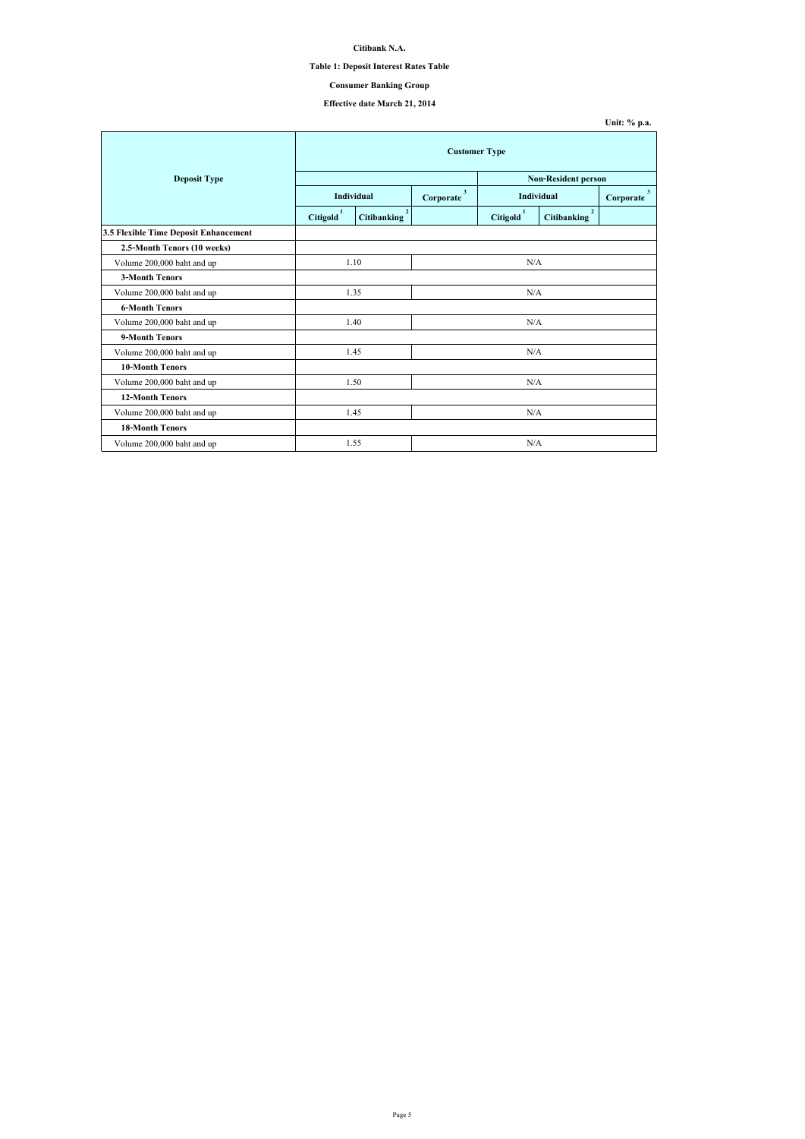| Unit: $\%$ p.a. |  |  |
|-----------------|--|--|
|-----------------|--|--|

## **Citibank N.A.**

# **Table 1: Deposit Interest Rates Table**

# **Effective date March 21, 2014**

|                                       | <b>Customer Type</b>       |                                      |                           |                       |                                   |                          |
|---------------------------------------|----------------------------|--------------------------------------|---------------------------|-----------------------|-----------------------------------|--------------------------|
| <b>Deposit Type</b>                   | <b>Non-Resident person</b> |                                      |                           |                       |                                   |                          |
|                                       | <b>Individual</b>          |                                      | $\mathbf{3}$<br>Corporate | <b>Individual</b>     |                                   | $3^{\circ}$<br>Corporate |
|                                       | Citigold <sup>1</sup>      | $\overline{2}$<br><b>Citibanking</b> |                           | Citigold <sup>1</sup> | $2^{\circ}$<br><b>Citibanking</b> |                          |
| 3.5 Flexible Time Deposit Enhancement |                            |                                      |                           |                       |                                   |                          |
| 2.5-Month Tenors (10 weeks)           |                            |                                      |                           |                       |                                   |                          |
| Volume 200,000 baht and up            |                            | 1.10                                 |                           | N/A                   |                                   |                          |
| <b>3-Month Tenors</b>                 |                            |                                      |                           |                       |                                   |                          |
| Volume 200,000 baht and up            | 1.35                       |                                      | N/A                       |                       |                                   |                          |
| <b>6-Month Tenors</b>                 |                            |                                      |                           |                       |                                   |                          |
| Volume 200,000 baht and up            |                            | 1.40                                 | N/A                       |                       |                                   |                          |
| 9-Month Tenors                        |                            |                                      |                           |                       |                                   |                          |
| Volume 200,000 baht and up            |                            | 1.45                                 | N/A                       |                       |                                   |                          |
| <b>10-Month Tenors</b>                |                            |                                      |                           |                       |                                   |                          |
| Volume 200,000 baht and up            |                            | 1.50                                 | N/A                       |                       |                                   |                          |
| <b>12-Month Tenors</b>                |                            |                                      |                           |                       |                                   |                          |
| Volume 200,000 baht and up            |                            | 1.45                                 | N/A                       |                       |                                   |                          |
| <b>18-Month Tenors</b>                |                            |                                      |                           |                       |                                   |                          |
| Volume 200,000 baht and up            |                            | 1.55                                 |                           | N/A                   |                                   |                          |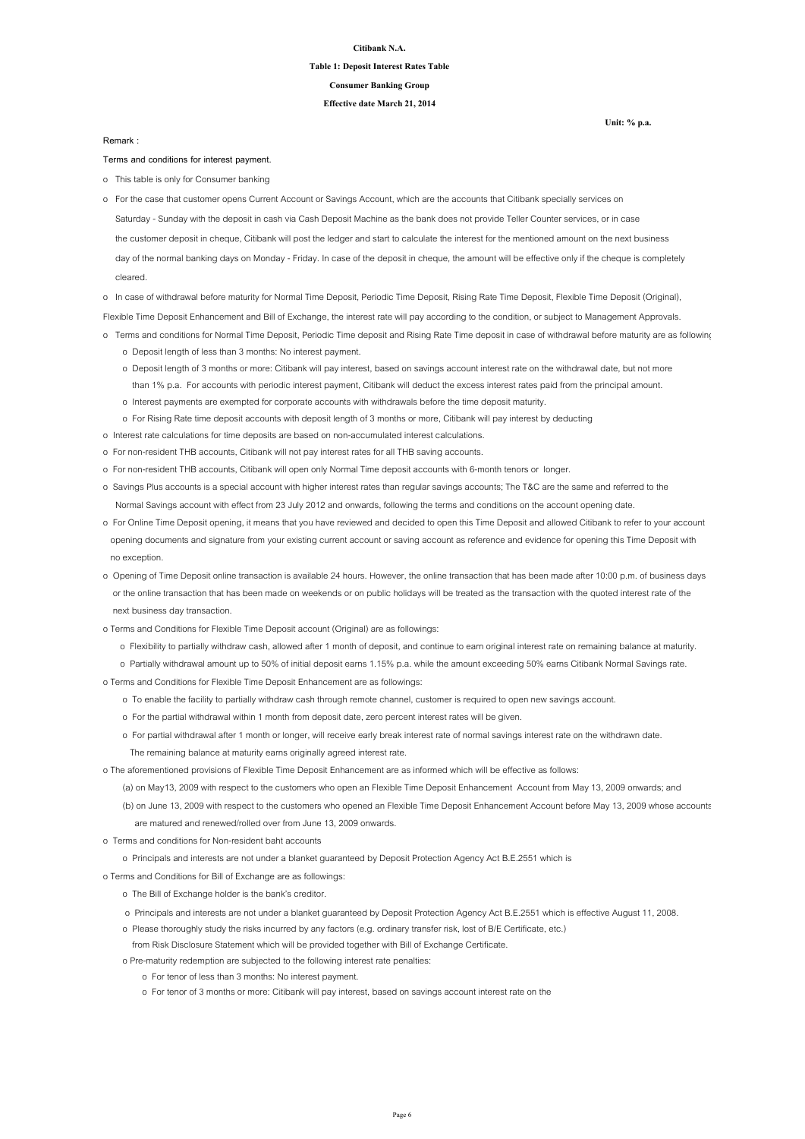**Unit: % p.a.**

#### **Citibank N.A.**

#### **Table 1: Deposit Interest Rates Table**

**Effective date March 21, 2014**

**Consumer Banking Group**

**Terms and conditions for interest payment.**

o This table is only for Consumer banking

- Saturday Sunday with the deposit in cash via Cash Deposit Machine as the bank does not provide Teller Counter services, or in case the customer deposit in cheque, Citibank will post the ledger and start to calculate the interest for the mentioned amount on the next business day of the normal banking days on Monday - Friday. In case of the deposit in cheque, the amount will be effective only if the cheque is completely cleared. o For the case that customer opens Current Account or Savings Account, which are the accounts that Citibank specially services on
- o In case of withdrawal before maturity for Normal Time Deposit, Periodic Time Deposit, Rising Rate Time Deposit, Flexible Time Deposit (Original),

Flexible Time Deposit Enhancement and Bill of Exchange, the interest rate will pay according to the condition, or subject to Management Approvals.

- o Terms and conditions for Normal Time Deposit, Periodic Time deposit and Rising Rate Time deposit in case of withdrawal before maturity are as followings:
	- o Deposit length of less than 3 months: No interest payment.
	- o Deposit length of 3 months or more: Citibank will pay interest, based on savings account interest rate on the withdrawal date, but not more than 1% p.a. For accounts with periodic interest payment, Citibank will deduct the excess interest rates paid from the principal amount.
	- o Interest payments are exempted for corporate accounts with withdrawals before the time deposit maturity.
	- o For Rising Rate time deposit accounts with deposit length of 3 months or more, Citibank will pay interest by deducting
- o Interest rate calculations for time deposits are based on non-accumulated interest calculations.
- o For non-resident THB accounts, Citibank will not pay interest rates for all THB saving accounts.
- o For non-resident THB accounts, Citibank will open only Normal Time deposit accounts with 6-month tenors or longer.
- o Savings Plus accounts is a special account with higher interest rates than regular savings accounts; The T&C are the same and referred to the Normal Savings account with effect from 23 July 2012 and onwards, following the terms and conditions on the account opening date.
- o For Online Time Deposit opening, it means that you have reviewed and decided to open this Time Deposit and allowed Citibank to refer to your account opening documents and signature from your existing current account or saving account as reference and evidence for opening this Time Deposit with no exception.
- o Opening of Time Deposit online transaction is available 24 hours. However, the online transaction that has been made after 10:00 p.m. of business days or the online transaction that has been made on weekends or on public holidays will be treated as the transaction with the quoted interest rate of the

next business day transaction.

- o Terms and Conditions for Flexible Time Deposit account (Original) are as followings:
	- o Flexibility to partially withdraw cash, allowed after 1 month of deposit, and continue to earn original interest rate on remaining balance at maturity.
	- o Partially withdrawal amount up to 50% of initial deposit earns 1.15% p.a. while the amount exceeding 50% earns Citibank Normal Savings rate.
- o Terms and Conditions for Flexible Time Deposit Enhancement are as followings:
	- o To enable the facility to partially withdraw cash through remote channel, customer is required to open new savings account.
	- o For the partial withdrawal within 1 month from deposit date, zero percent interest rates will be given.
	- o For partial withdrawal after 1 month or longer, will receive early break interest rate of normal savings interest rate on the withdrawn date.
		- The remaining balance at maturity earns originally agreed interest rate.
- o The aforementioned provisions of Flexible Time Deposit Enhancement are as informed which will be effective as follows:
	- (a) on May13, 2009 with respect to the customers who open an Flexible Time Deposit Enhancement Account from May 13, 2009 onwards; and
	- (b) on June 13, 2009 with respect to the customers who opened an Flexible Time Deposit Enhancement Account before May 13, 2009 whose accounts are matured and renewed/rolled over from June 13, 2009 onwards.
- o Terms and conditions for Non-resident baht accounts
	- o Principals and interests are not under a blanket guaranteed by Deposit Protection Agency Act B.E.2551 which is
- o Terms and Conditions for Bill of Exchange are as followings:
	- o The Bill of Exchange holder is the bank's creditor.
	- o Principals and interests are not under a blanket guaranteed by Deposit Protection Agency Act B.E.2551 which is effective August 11, 2008.
	- o Please thoroughly study the risks incurred by any factors (e.g. ordinary transfer risk, lost of B/E Certificate, etc.)
	- from Risk Disclosure Statement which will be provided together with Bill of Exchange Certificate.
	- o Pre-maturity redemption are subjected to the following interest rate penalties:
		- o For tenor of less than 3 months: No interest payment.
		- o For tenor of 3 months or more: Citibank will pay interest, based on savings account interest rate on the

**Remark :**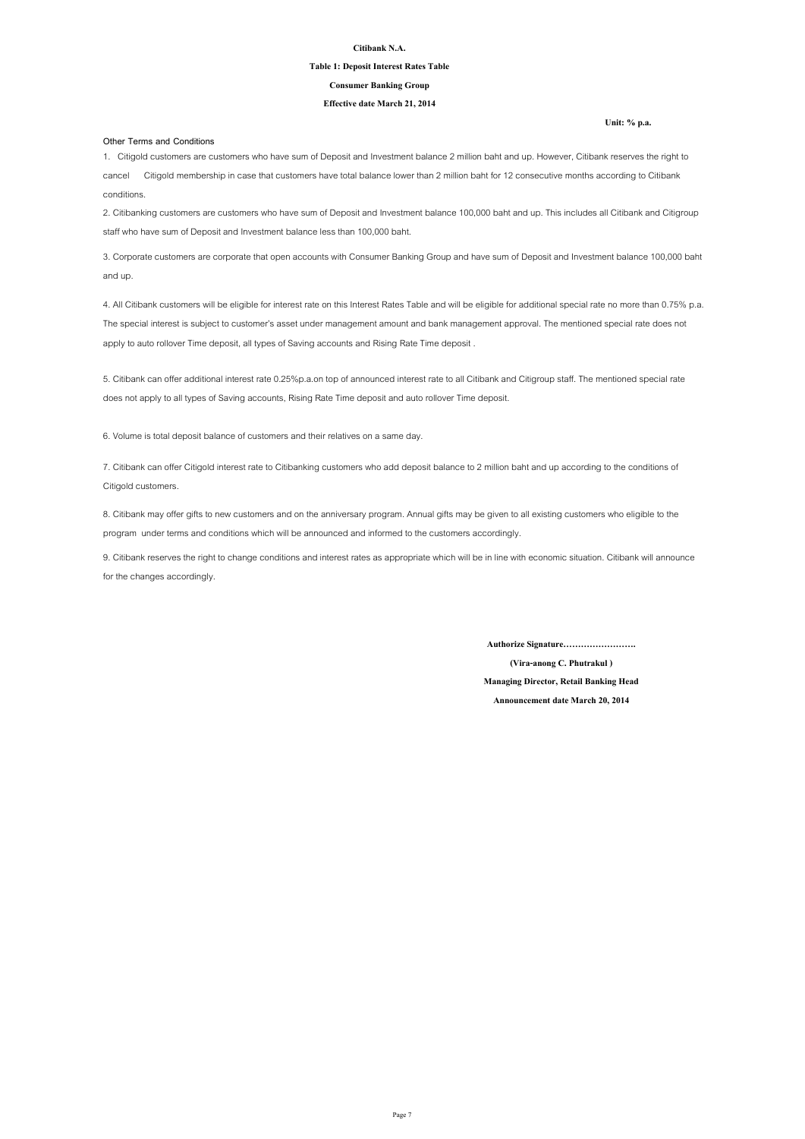**Unit: % p.a.**

#### **Citibank N.A.**

#### **Table 1: Deposit Interest Rates Table**

**Effective date March 21, 2014**

#### **Consumer Banking Group**

#### **Other Terms and Conditions**

8. Citibank may offer gifts to new customers and on the anniversary program. Annual gifts may be given to all existing customers who eligible to the program under terms and conditions which will be announced and informed to the customers accordingly.

9. Citibank reserves the right to change conditions and interest rates as appropriate which will be in line with economic situation. Citibank will announce for the changes accordingly.

1. Citigold customers are customers who have sum of Deposit and Investment balance 2 million baht and up. However, Citibank reserves the right to cancel Citigold membership in case that customers have total balance lower than 2 million baht for 12 consecutive months according to Citibank conditions.

2. Citibanking customers are customers who have sum of Deposit and Investment balance 100,000 baht and up. This includes all Citibank and Citigroup staff who have sum of Deposit and Investment balance less than 100,000 baht.

3. Corporate customers are corporate that open accounts with Consumer Banking Group and have sum of Deposit and Investment balance 100,000 baht and up.

4. All Citibank customers will be eligible for interest rate on this Interest Rates Table and will be eligible for additional special rate no more than 0.75% p.a. The special interest is subject to customer's asset under management amount and bank management approval. The mentioned special rate does not apply to auto rollover Time deposit, all types of Saving accounts and Rising Rate Time deposit .

5. Citibank can offer additional interest rate 0.25%p.a.on top of announced interest rate to all Citibank and Citigroup staff. The mentioned special rate does not apply to all types of Saving accounts, Rising Rate Time deposit and auto rollover Time deposit.

7. Citibank can offer Citigold interest rate to Citibanking customers who add deposit balance to 2 million baht and up according to the conditions of Citigold customers.

6. Volume is total deposit balance of customers and their relatives on a same day.

**Authorize Signature…………………….**

**(Vira-anong C. Phutrakul )**

**Managing Director, Retail Banking Head**

**Announcement date March 20, 2014**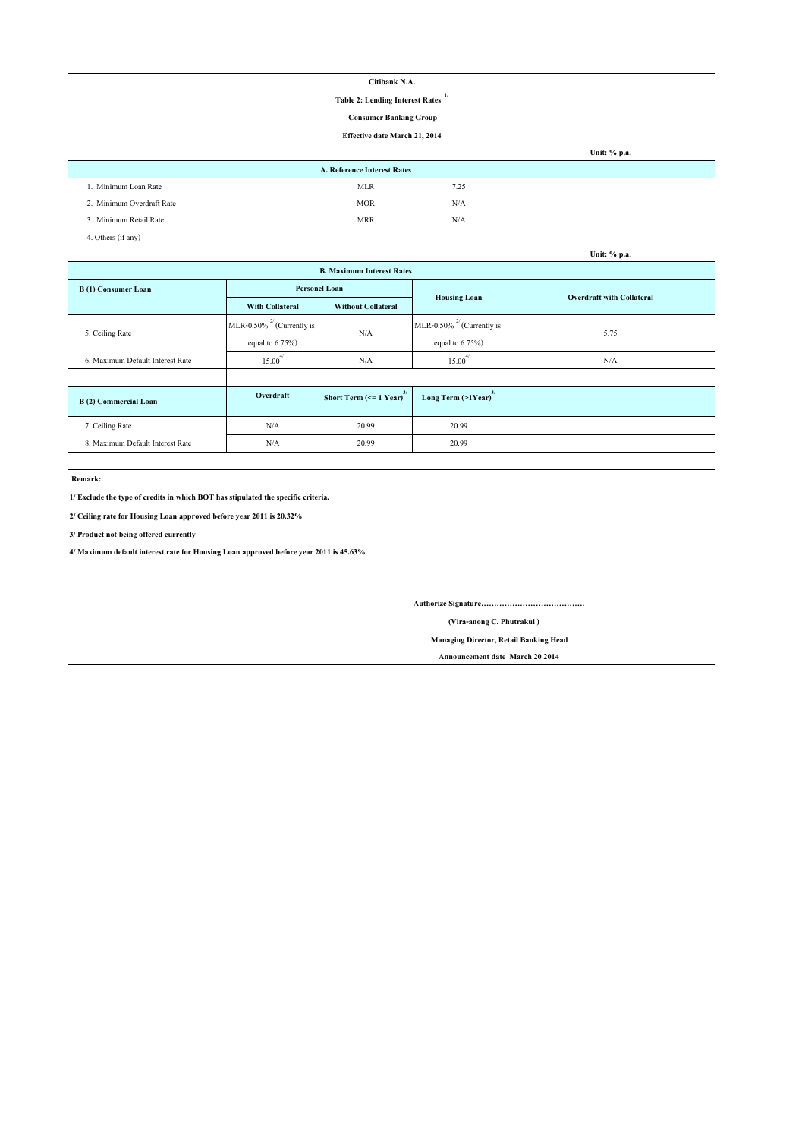| Citibank N.A.                                                                         |                                 |                                                           |                                     |                                  |  |  |  |  |  |
|---------------------------------------------------------------------------------------|---------------------------------|-----------------------------------------------------------|-------------------------------------|----------------------------------|--|--|--|--|--|
| 1/<br><b>Table 2: Lending Interest Rates</b>                                          |                                 |                                                           |                                     |                                  |  |  |  |  |  |
| <b>Consumer Banking Group</b>                                                         |                                 |                                                           |                                     |                                  |  |  |  |  |  |
|                                                                                       |                                 | <b>Effective date March 21, 2014</b>                      |                                     |                                  |  |  |  |  |  |
|                                                                                       | Unit: % p.a.                    |                                                           |                                     |                                  |  |  |  |  |  |
|                                                                                       |                                 | A. Reference Interest Rates                               |                                     |                                  |  |  |  |  |  |
| 1. Minimum Loan Rate                                                                  |                                 | <b>MLR</b>                                                | 7.25                                |                                  |  |  |  |  |  |
| 2. Minimum Overdraft Rate                                                             |                                 | <b>MOR</b>                                                | N/A                                 |                                  |  |  |  |  |  |
| 3. Minimum Retail Rate                                                                |                                 | <b>MRR</b>                                                | N/A                                 |                                  |  |  |  |  |  |
| 4. Others (if any)                                                                    |                                 |                                                           |                                     |                                  |  |  |  |  |  |
|                                                                                       |                                 |                                                           |                                     | Unit: % p.a.                     |  |  |  |  |  |
|                                                                                       |                                 | <b>B. Maximum Interest Rates</b>                          |                                     |                                  |  |  |  |  |  |
| <b>B</b> (1) Consumer Loan                                                            | <b>Personel Loan</b>            |                                                           | <b>Housing Loan</b>                 | <b>Overdraft with Collateral</b> |  |  |  |  |  |
|                                                                                       | <b>With Collateral</b>          | <b>Without Collateral</b>                                 |                                     |                                  |  |  |  |  |  |
|                                                                                       | MLR-0.50% $^{27}$ (Currently is |                                                           | MLR-0.50% $^{27}$ (Currently is     |                                  |  |  |  |  |  |
| 5. Ceiling Rate                                                                       | equal to $6.75\%$ )             | N/A                                                       | equal to $6.75\%$ )                 | 5.75                             |  |  |  |  |  |
| 6. Maximum Default Interest Rate                                                      | $15.00^{4/}$                    | N/A                                                       | $15.00^{4/}$                        | N/A                              |  |  |  |  |  |
|                                                                                       |                                 |                                                           |                                     |                                  |  |  |  |  |  |
| <b>B</b> (2) Commercial Loan                                                          | Overdraft                       | <b>Short Term (<math>\le</math> 1 Year)</b> <sup>3/</sup> | Long Term $(>1$ Year) <sup>3/</sup> |                                  |  |  |  |  |  |
| 7. Ceiling Rate                                                                       | $\rm N/A$                       | 20.99                                                     | 20.99                               |                                  |  |  |  |  |  |
| 8. Maximum Default Interest Rate                                                      | $\rm N/A$                       | 20.99                                                     | 20.99                               |                                  |  |  |  |  |  |
|                                                                                       |                                 |                                                           |                                     |                                  |  |  |  |  |  |
| Remark:                                                                               |                                 |                                                           |                                     |                                  |  |  |  |  |  |
| 1/ Exclude the type of credits in which BOT has stipulated the specific criteria.     |                                 |                                                           |                                     |                                  |  |  |  |  |  |
| 2/ Ceiling rate for Housing Loan approved before year 2011 is 20.32%                  |                                 |                                                           |                                     |                                  |  |  |  |  |  |
| 3/ Product not being offered currently                                                |                                 |                                                           |                                     |                                  |  |  |  |  |  |
| 4/ Maximum default interest rate for Housing Loan approved before year 2011 is 45.63% |                                 |                                                           |                                     |                                  |  |  |  |  |  |
|                                                                                       |                                 |                                                           |                                     |                                  |  |  |  |  |  |
|                                                                                       |                                 |                                                           |                                     |                                  |  |  |  |  |  |
|                                                                                       |                                 |                                                           |                                     |                                  |  |  |  |  |  |
|                                                                                       |                                 |                                                           | (Vira-anong C. Phutrakul)           |                                  |  |  |  |  |  |
| <b>Managing Director, Retail Banking Head</b>                                         |                                 |                                                           |                                     |                                  |  |  |  |  |  |

 **Announcement date March 20 2014**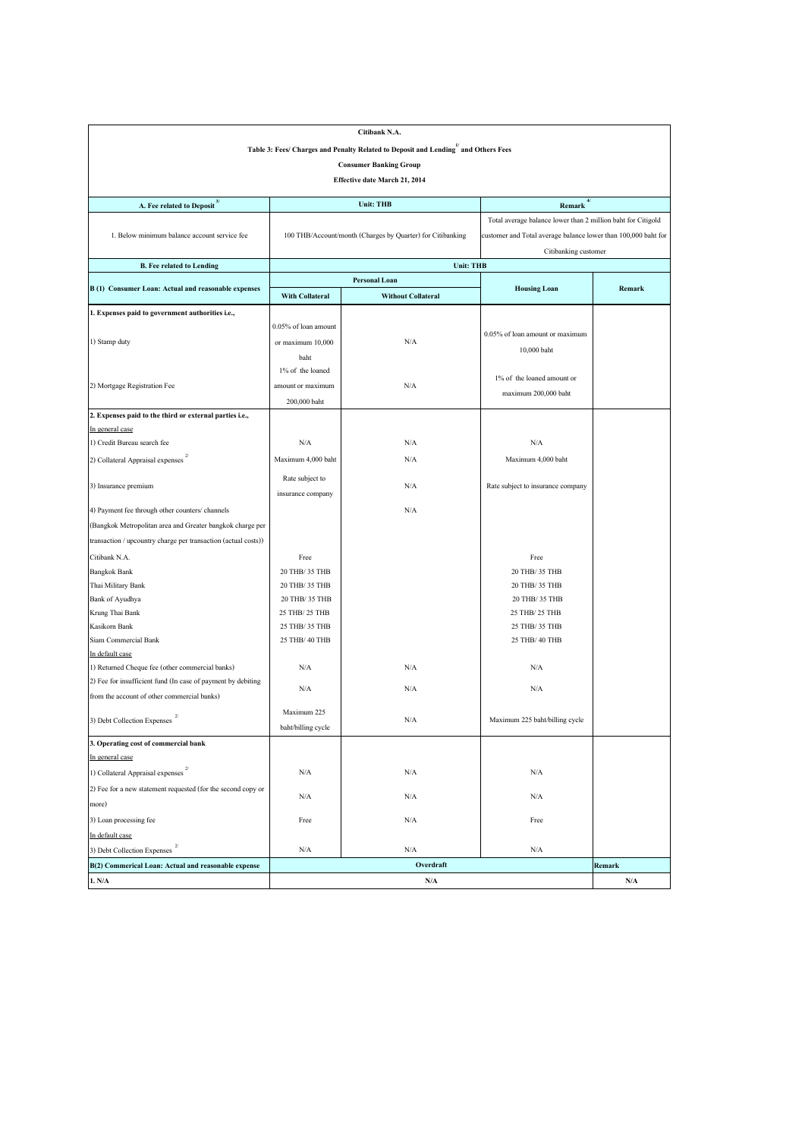|                                                                                   | Citibank N.A.            |                                                            |                                                                |        |  |  |  |  |
|-----------------------------------------------------------------------------------|--------------------------|------------------------------------------------------------|----------------------------------------------------------------|--------|--|--|--|--|
| Table 3: Fees/ Charges and Penalty Related to Deposit and Lending and Others Fees |                          |                                                            |                                                                |        |  |  |  |  |
| <b>Consumer Banking Group</b>                                                     |                          |                                                            |                                                                |        |  |  |  |  |
|                                                                                   |                          | <b>Effective date March 21, 2014</b>                       |                                                                |        |  |  |  |  |
|                                                                                   |                          |                                                            |                                                                |        |  |  |  |  |
| <b>A. Fee related to Deposit</b> <sup><math>3/</math></sup>                       |                          | <b>Unit: THB</b>                                           | Remark $\frac{4}{3}$                                           |        |  |  |  |  |
|                                                                                   |                          |                                                            | Total average balance lower than 2 million baht for Citigold   |        |  |  |  |  |
| 1. Below minimum balance account service fee                                      |                          | 100 THB/Account/month (Charges by Quarter) for Citibanking | customer and Total average balance lower than 100,000 baht for |        |  |  |  |  |
|                                                                                   |                          |                                                            | Citibanking customer                                           |        |  |  |  |  |
| <b>B. Fee related to Lending</b>                                                  |                          | <b>Unit: THB</b>                                           |                                                                |        |  |  |  |  |
|                                                                                   |                          | <b>Personal Loan</b>                                       |                                                                |        |  |  |  |  |
| B (1) Consumer Loan: Actual and reasonable expenses                               | <b>With Collateral</b>   | <b>Without Collateral</b>                                  | <b>Housing Loan</b>                                            | Remark |  |  |  |  |
| 1. Expenses paid to government authorities i.e.,                                  |                          |                                                            |                                                                |        |  |  |  |  |
|                                                                                   | 0.05% of loan amount     |                                                            |                                                                |        |  |  |  |  |
| 1) Stamp duty                                                                     | or maximum 10,000        | N/A                                                        | $0.05\%$ of loan amount or maximum                             |        |  |  |  |  |
|                                                                                   |                          |                                                            | 10,000 baht                                                    |        |  |  |  |  |
|                                                                                   | baht<br>1% of the loaned |                                                            |                                                                |        |  |  |  |  |
|                                                                                   |                          |                                                            | $1\%$ of the loaned amount or                                  |        |  |  |  |  |
| 2) Mortgage Registration Fee                                                      | amount or maximum        | N/A                                                        | maximum 200,000 baht                                           |        |  |  |  |  |
|                                                                                   | 200,000 baht             |                                                            |                                                                |        |  |  |  |  |
| 2. Expenses paid to the third or external parties i.e.,                           |                          |                                                            |                                                                |        |  |  |  |  |
| In general case                                                                   |                          |                                                            |                                                                |        |  |  |  |  |
| 1) Credit Bureau search fee                                                       | N/A                      | N/A                                                        | N/A                                                            |        |  |  |  |  |
| 2) Collateral Appraisal expenses                                                  | Maximum 4,000 baht       | N/A                                                        | Maximum 4,000 baht                                             |        |  |  |  |  |
| 3) Insurance premium                                                              | Rate subject to          | N/A                                                        |                                                                |        |  |  |  |  |
|                                                                                   | insurance company        |                                                            | Rate subject to insurance company                              |        |  |  |  |  |
| 4) Payment fee through other counters/channels                                    |                          | N/A                                                        |                                                                |        |  |  |  |  |
| (Bangkok Metropolitan area and Greater bangkok charge per                         |                          |                                                            |                                                                |        |  |  |  |  |
| transaction / upcountry charge per transaction (actual costs))                    |                          |                                                            |                                                                |        |  |  |  |  |
| Citibank N.A.                                                                     | Free                     |                                                            | Free                                                           |        |  |  |  |  |
| <b>Bangkok Bank</b>                                                               | 20 THB/ 35 THB           |                                                            | 20 THB/ 35 THB                                                 |        |  |  |  |  |
| Thai Military Bank                                                                | 20 THB/ 35 THB           |                                                            | 20 THB/ 35 THB                                                 |        |  |  |  |  |
| Bank of Ayudhya                                                                   | 20 THB/ 35 THB           |                                                            | 20 THB/ 35 THB                                                 |        |  |  |  |  |
| Krung Thai Bank                                                                   | 25 THB/ 25 THB           |                                                            | 25 THB/ 25 THB                                                 |        |  |  |  |  |
| Kasikorn Bank                                                                     | 25 THB/ 35 THB           |                                                            | 25 THB/ 35 THB                                                 |        |  |  |  |  |
| Siam Commercial Bank                                                              | 25 THB/ 40 THB           |                                                            | 25 THB/ 40 THB                                                 |        |  |  |  |  |
| In default case                                                                   |                          |                                                            |                                                                |        |  |  |  |  |
| 1) Returned Cheque fee (other commercial banks)                                   | N/A                      | N/A                                                        | N/A                                                            |        |  |  |  |  |
| (2) Fee for insufficient fund (In case of payment by debiting                     | N/A                      | N/A                                                        | N/A                                                            |        |  |  |  |  |
| from the account of other commercial banks)                                       |                          |                                                            |                                                                |        |  |  |  |  |
|                                                                                   | Maximum 225              |                                                            |                                                                |        |  |  |  |  |
| 3) Debt Collection Expenses                                                       | baht/billing cycle       | N/A                                                        | Maximum 225 baht/billing cycle                                 |        |  |  |  |  |
| 3. Operating cost of commercial bank                                              |                          |                                                            |                                                                |        |  |  |  |  |
| In general case                                                                   |                          |                                                            |                                                                |        |  |  |  |  |
| 1) Collateral Appraisal expenses                                                  | N/A                      | N/A                                                        | N/A                                                            |        |  |  |  |  |
| (2) Fee for a new statement requested (for the second copy or                     | N/A                      | N/A                                                        | N/A                                                            |        |  |  |  |  |
| more)                                                                             |                          |                                                            |                                                                |        |  |  |  |  |
| 3) Loan processing fee                                                            | Free                     | N/A                                                        | Free                                                           |        |  |  |  |  |
| In default case                                                                   |                          |                                                            |                                                                |        |  |  |  |  |
| 2/<br>3) Debt Collection Expenses                                                 | N/A                      | N/A                                                        | N/A                                                            |        |  |  |  |  |
| B(2) Commerical Loan: Actual and reasonable expense                               |                          | Overdraft                                                  |                                                                | Remark |  |  |  |  |
| 1. N/A                                                                            |                          | N/A                                                        |                                                                | N/A    |  |  |  |  |